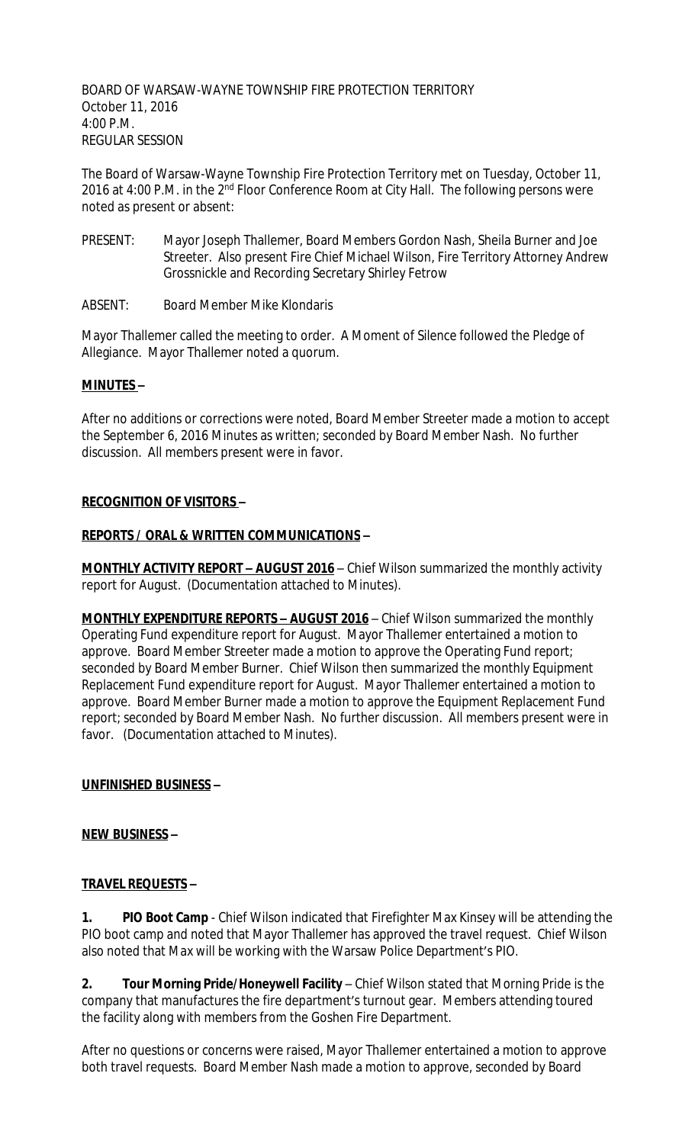BOARD OF WARSAW-WAYNE TOWNSHIP FIRE PROTECTION TERRITORY October 11, 2016 4:00 P.M. REGULAR SESSION

The Board of Warsaw-Wayne Township Fire Protection Territory met on Tuesday, October 11, 2016 at 4:00 P.M. in the 2<sup>nd</sup> Floor Conference Room at City Hall. The following persons were noted as present or absent:

- PRESENT: Mayor Joseph Thallemer, Board Members Gordon Nash, Sheila Burner and Joe Streeter. Also present Fire Chief Michael Wilson, Fire Territory Attorney Andrew Grossnickle and Recording Secretary Shirley Fetrow
- ABSENT: Board Member Mike Klondaris

Mayor Thallemer called the meeting to order. A Moment of Silence followed the Pledge of Allegiance. Mayor Thallemer noted a quorum.

#### **MINUTES –**

After no additions or corrections were noted, Board Member Streeter made a motion to accept the September 6, 2016 Minutes as written; seconded by Board Member Nash. No further discussion. All members present were in favor.

#### **RECOGNITION OF VISITORS –**

#### **REPORTS / ORAL & WRITTEN COMMUNICATIONS –**

**MONTHLY ACTIVITY REPORT - AUGUST 2016** - Chief Wilson summarized the monthly activity report for August. (Documentation attached to Minutes).

**MONTHLY EXPENDITURE REPORTS – AUGUST 2016** – Chief Wilson summarized the monthly Operating Fund expenditure report for August. Mayor Thallemer entertained a motion to approve. Board Member Streeter made a motion to approve the Operating Fund report; seconded by Board Member Burner. Chief Wilson then summarized the monthly Equipment Replacement Fund expenditure report for August. Mayor Thallemer entertained a motion to approve. Board Member Burner made a motion to approve the Equipment Replacement Fund report; seconded by Board Member Nash. No further discussion. All members present were in favor. (Documentation attached to Minutes).

## **UNFINISHED BUSINESS –**

#### **NEW BUSINESS –**

## **TRAVEL REQUESTS –**

**1. PIO Boot Camp** - Chief Wilson indicated that Firefighter Max Kinsey will be attending the PIO boot camp and noted that Mayor Thallemer has approved the travel request. Chief Wilson also noted that Max will be working with the Warsaw Police Department's PIO.

**2. Tour Morning Pride/Honeywell Facility** – Chief Wilson stated that Morning Pride is the company that manufactures the fire department's turnout gear. Members attending toured the facility along with members from the Goshen Fire Department.

After no questions or concerns were raised, Mayor Thallemer entertained a motion to approve both travel requests. Board Member Nash made a motion to approve, seconded by Board